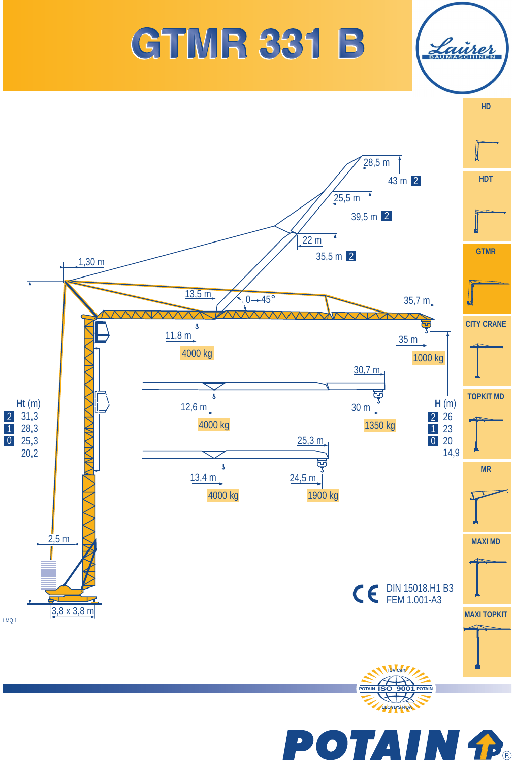

## **GTMR 331 B**

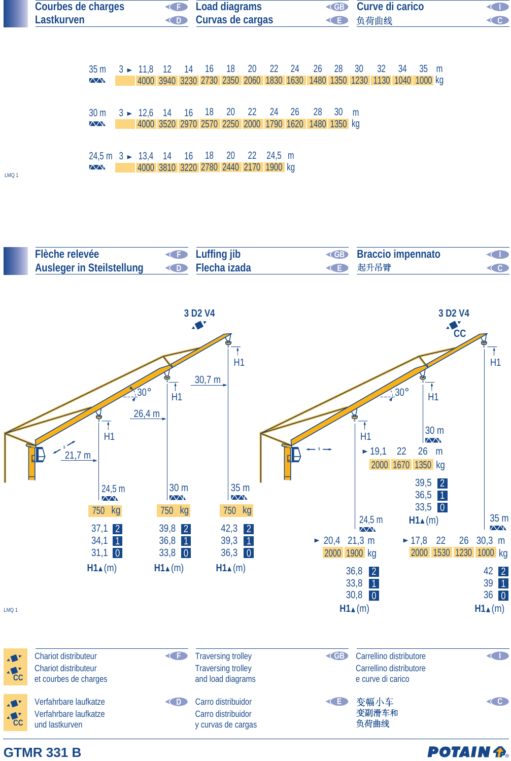



**POTAIN P.** 

## **GTMR 331 B**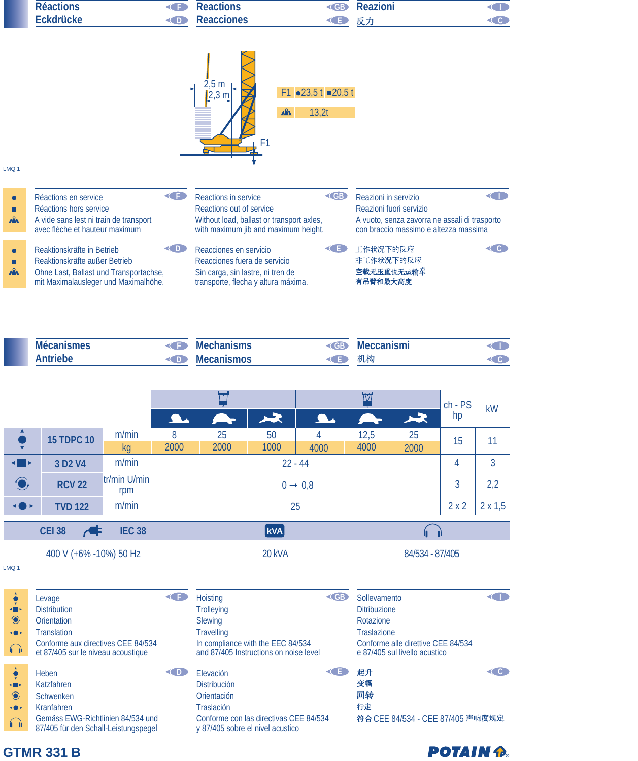|              | <b>Réactions</b>                                                               |              | <b>Reactions</b>                                                         |                                                           | <b>Reazioni</b>                               |                     |
|--------------|--------------------------------------------------------------------------------|--------------|--------------------------------------------------------------------------|-----------------------------------------------------------|-----------------------------------------------|---------------------|
|              | <b>Eckdrücke</b>                                                               | <b>←</b> D   | <b>Reacciones</b>                                                        |                                                           | 反力                                            | $\subset$ $\subset$ |
| LMQ 1        |                                                                                |              | 2,5 m<br>,3 m<br>F <sub>1</sub>                                          | $F1 \bullet 23,51 \bullet 20,51$<br>$\mathbf{r}$<br>13,2t |                                               |                     |
| $\bullet$    | Réactions en service                                                           | $\leftarrow$ | Reactions in service                                                     | <b>EB</b>                                                 | Reazioni in servizio                          |                     |
| П            | Réactions hors service                                                         |              | Reactions out of service                                                 |                                                           | Reazioni fuori servizio                       |                     |
| $\mathbf{A}$ | A vide sans lest ni train de transport                                         |              | Without load, ballast or transport axles,                                |                                                           | A vuoto, senza zavorra ne assali di trasporto |                     |
|              |                                                                                |              |                                                                          |                                                           |                                               |                     |
|              | avec flèche et hauteur maximum                                                 |              | with maximum jib and maximum height.                                     |                                                           | con braccio massimo e altezza massima         |                     |
|              | Reaktionskräfte in Betrieb                                                     | D            | Reacciones en servicio                                                   | Æ.                                                        | 工作状况下的反应                                      | C C I               |
| П            | Reaktionskräfte außer Betrieb                                                  |              | Reacciones fuera de servicio                                             |                                                           | 非工作状况下的反应                                     |                     |
| $\mathbf{A}$ | Ohne Last, Ballast und Transportachse,<br>mit Maximalausleger und Maximalhöhe. |              | Sin carga, sin lastre, ni tren de<br>transporte, flecha y altura máxima. |                                                           | 空载无压重也无运输车<br>有吊臂和最大高度                        |                     |

| <b>Mécanismes</b> | <b>Mechanisms</b> | <b>Meccanismi</b> |  |
|-------------------|-------------------|-------------------|--|
| Antriebe          | <b>Mecanismos</b> | 机构                |  |

|                                |                                 |                     | <b>Albert</b>       | $\sim$              | $\blacktriangleright$ | A.              |              | $\blacktriangleright$ | $ch - PS$<br>hp | kW  |
|--------------------------------|---------------------------------|---------------------|---------------------|---------------------|-----------------------|-----------------|--------------|-----------------------|-----------------|-----|
| ▲                              | <b>15 TDPC 10</b>               | m/min<br><b>kg</b>  | 8<br>2000           | 25<br>2000          | 50<br>1000            | 4<br>4000       | 12,5<br>4000 | 25<br>2000            | 15              | 11  |
| $\blacksquare$                 | 3 D <sub>2</sub> V <sub>4</sub> | m/min               |                     | $22 - 44$           |                       |                 |              |                       |                 | 3   |
| $\bigodot$                     | <b>RCV 22</b>                   | tr/min U/min<br>rpm |                     | $0 \rightarrow 0,8$ |                       |                 |              |                       | 3               | 2,2 |
| <b>+0</b> F                    | <b>TVD 122</b>                  | m/min               | 25                  |                     |                       |                 |              | 2x2                   | $2 \times 1,5$  |     |
| <b>IEC 38</b><br><b>CEI 38</b> |                                 |                     | $\vert$ kVA $\vert$ |                     |                       |                 |              |                       |                 |     |
| 400 V (+6% -10%) 50 Hz         |                                 |                     | 20 kVA              |                     |                       | 84/534 - 87/405 |              |                       |                 |     |

LMQ 1

| $\blacksquare$<br>$\bullet$<br>$\rightarrow$<br>$\bigcap$ | Levage<br><b>Distribution</b><br>Orientation<br>Translation<br>Conforme aux directives CEE 84/534<br>et 87/405 sur le niveau acoustique |     | <b>Hoisting</b><br><b>Trolleying</b><br><b>Slewing</b><br><b>Travelling</b><br>In compliance with the EEC 84/534<br>and 87/405 Instructions on noise level | <b>CB</b> | Sollevamento<br><b>Ditribuzione</b><br>Rotazione<br><b>Traslazione</b><br>Conforme alle direttive CEE 84/534<br>e 87/405 sul livello acustico |                      |
|-----------------------------------------------------------|-----------------------------------------------------------------------------------------------------------------------------------------|-----|------------------------------------------------------------------------------------------------------------------------------------------------------------|-----------|-----------------------------------------------------------------------------------------------------------------------------------------------|----------------------|
| $\blacksquare$<br>$\bullet$<br>$\rightarrow$<br>$\bigcap$ | Heben<br>Katzfahren<br>Schwenken<br>Kranfahren<br>Gemäss EWG-Richtlinien 84/534 und<br>87/405 für den Schall-Leistungspegel             | CD. | Elevación<br><b>Distribución</b><br>Orientación<br><b>Traslación</b><br>Conforme con las directivas CEE 84/534<br>y 87/405 sobre el nivel acustico         |           | 起升<br>变幅<br>回转<br>行走<br>符合 CEE 84/534 - CEE 87/405 声响度规定                                                                                      | $\in$ $\mathbf{c}$ . |

**POTAIN P.** 

## **GTMR 331 B**